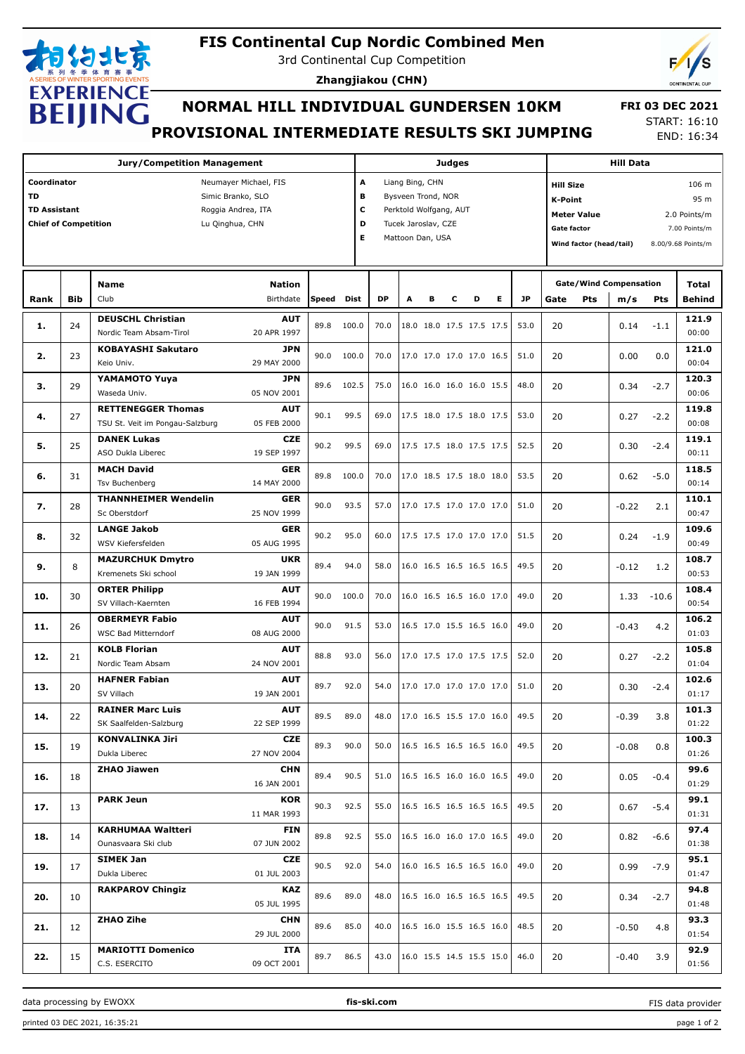

3rd Continental Cup Competition

**Zhangjiakou (CHN)**



## **NORMAL HILL INDIVIDUAL GUNDERSEN 10KM PROVISIONAL INTERMEDIATE RESULTS SKI JUMPING**

 **FRI 03 DEC 2021** START: 16:10

END: 16:34

| <b>Jury/Competition Management</b>   |                 |                                                |                             |             |                         |           | Judges                   |                                               |                            |                          |                          |                  |                               | <b>Hill Data</b> |         |            |        |
|--------------------------------------|-----------------|------------------------------------------------|-----------------------------|-------------|-------------------------|-----------|--------------------------|-----------------------------------------------|----------------------------|--------------------------|--------------------------|------------------|-------------------------------|------------------|---------|------------|--------|
| Coordinator<br>Neumayer Michael, FIS |                 |                                                |                             |             | Liang Bing, CHN<br>A    |           |                          |                                               |                            |                          |                          | <b>Hill Size</b> |                               |                  | 106 m   |            |        |
| <b>TD</b><br>Simic Branko, SLO       |                 |                                                |                             |             | в<br>Bysveen Trond, NOR |           |                          |                                               |                            |                          | <b>K-Point</b>           |                  |                               | 95 m             |         |            |        |
| <b>TD Assistant</b>                  |                 |                                                | с<br>Perktold Wolfgang, AUT |             |                         |           |                          |                                               | <b>Meter Value</b>         |                          |                          | 2.0 Points/m     |                               |                  |         |            |        |
| <b>Chief of Competition</b>          |                 |                                                | D<br>Tucek Jaroslav, CZE    |             |                         |           |                          |                                               | <b>Gate factor</b>         |                          |                          | 7.00 Points/m    |                               |                  |         |            |        |
|                                      | Lu Qinghua, CHN |                                                |                             |             |                         |           | Mattoon Dan, USA         |                                               |                            |                          |                          |                  |                               |                  |         |            |        |
|                                      |                 |                                                |                             |             |                         |           |                          | Wind factor (head/tail)<br>8.00/9.68 Points/m |                            |                          |                          |                  |                               |                  |         |            |        |
|                                      |                 |                                                |                             |             |                         |           |                          |                                               |                            |                          |                          |                  |                               |                  |         |            |        |
|                                      |                 | <b>Name</b><br><b>Nation</b>                   |                             |             |                         |           |                          |                                               |                            |                          |                          |                  | <b>Gate/Wind Compensation</b> |                  |         |            | Total  |
| Rank                                 | Bib             | Club<br>Birthdate                              | Speed                       | <b>Dist</b> |                         | <b>DP</b> | A                        | в                                             | c                          | D                        | Е                        | <b>JP</b>        | Gate                          | Pts              | m/s     | <b>Pts</b> | Behind |
| 1.                                   | 24              | <b>DEUSCHL Christian</b><br><b>AUT</b>         | 89.8                        | 100.0       |                         | 70.0      |                          |                                               |                            | 18.0 18.0 17.5 17.5 17.5 |                          | 53.0             | 20                            |                  | 0.14    | $-1.1$     | 121.9  |
|                                      |                 | 20 APR 1997<br>Nordic Team Absam-Tirol         |                             |             |                         |           |                          |                                               |                            |                          |                          |                  |                               |                  |         | 00:00      |        |
| 2.                                   | 23              | <b>KOBAYASHI Sakutaro</b><br><b>JPN</b>        | 90.0                        |             |                         | 70.0      |                          |                                               |                            | 17.0 17.0 17.0 17.0 16.5 |                          | 51.0             |                               |                  | 0.00    | 0.0        | 121.0  |
|                                      |                 | Keio Univ.<br>29 MAY 2000                      |                             |             | 100.0                   |           |                          |                                               |                            |                          |                          |                  | 20                            |                  |         |            | 00:04  |
| з.                                   | 29              | YAMAMOTO Yuya<br><b>JPN</b>                    | 89.6                        | 102.5       |                         | 75.0      |                          |                                               |                            |                          |                          |                  |                               |                  |         |            | 120.3  |
|                                      |                 | Waseda Univ.<br>05 NOV 2001                    |                             |             |                         |           |                          |                                               |                            |                          | 16.0 16.0 16.0 16.0 15.5 | 48.0             | 20                            |                  | 0.34    | $-2.7$     | 00:06  |
| 4.                                   | 27              | <b>RETTENEGGER Thomas</b><br><b>AUT</b>        | 90.1                        | 99.5        |                         | 69.0      | 17.5 18.0 17.5 18.0 17.5 |                                               |                            |                          |                          | 53.0             | 20                            |                  | 0.27    | $-2.2$     | 119.8  |
|                                      |                 | TSU St. Veit im Pongau-Salzburg<br>05 FEB 2000 |                             |             |                         |           |                          |                                               |                            |                          |                          |                  |                               |                  |         |            | 00:08  |
| 5.                                   | 25              | <b>DANEK Lukas</b><br><b>CZE</b>               | 90.2                        | 99.5        |                         | 69.0      |                          | 17.5 17.5 18.0 17.5 17.5                      |                            |                          |                          | 52.5             | 20                            |                  | 0.30    | $-2.4$     | 119.1  |
|                                      |                 | 19 SEP 1997<br>ASO Dukla Liberec               |                             |             |                         |           |                          |                                               |                            |                          |                          |                  |                               |                  |         |            | 00:11  |
| 6.                                   | 31              | <b>MACH David</b><br><b>GER</b>                | 89.8                        | 100.0       |                         | 70.0      |                          |                                               |                            |                          | 17.0 18.5 17.5 18.0 18.0 | 53.5             | 20                            |                  | 0.62    | $-5.0$     | 118.5  |
|                                      |                 | Tsv Buchenberg<br>14 MAY 2000                  |                             |             |                         |           |                          |                                               |                            |                          |                          |                  |                               |                  |         |            | 00:14  |
| 7.                                   | 28              | <b>THANNHEIMER Wendelin</b><br><b>GER</b>      | 90.0                        | 93.5        |                         | 57.0      |                          |                                               |                            | 17.0 17.5 17.0 17.0 17.0 |                          | 51.0             | 20                            | $-0.22$          | 2.1     | 110.1      |        |
|                                      |                 | Sc Oberstdorf<br>25 NOV 1999                   |                             |             |                         |           |                          |                                               |                            |                          |                          |                  |                               |                  |         |            | 00:47  |
| 8.                                   | 32              | <b>LANGE Jakob</b><br><b>GER</b>               | 90.2                        | 95.0        |                         | 60.0      |                          | 17.5 17.5 17.0 17.0 17.0                      |                            |                          |                          | 51.5             | 20                            |                  |         |            | 109.6  |
|                                      |                 | WSV Kiefersfelden<br>05 AUG 1995               |                             |             |                         |           |                          |                                               |                            |                          |                          |                  |                               |                  | 0.24    | $-1.9$     | 00:49  |
| 9.                                   | 8               | <b>UKR</b><br><b>MAZURCHUK Dmytro</b>          | 89.4                        | 94.0        |                         | 58.0      |                          |                                               |                            | 16.0 16.5 16.5 16.5 16.5 |                          | 49.5             | 20                            | $-0.12$          |         | 1.2        | 108.7  |
|                                      |                 | Kremenets Ski school<br>19 JAN 1999            |                             |             |                         |           |                          |                                               |                            |                          |                          |                  |                               |                  |         |            | 00:53  |
| 10.                                  | 30              | <b>ORTER Philipp</b><br><b>AUT</b>             | 90.0                        | 100.0       |                         | 70.0      |                          |                                               |                            | 16.0 16.5 16.5 16.0 17.0 |                          | 49.0             | 20                            | 1.33             | $-10.6$ | 108.4      |        |
|                                      |                 | SV Villach-Kaernten<br>16 FEB 1994             |                             |             |                         |           |                          |                                               |                            |                          |                          |                  |                               |                  |         |            | 00:54  |
| 11.                                  | 26              | <b>OBERMEYR Fabio</b><br><b>AUT</b>            | 90.0                        | 91.5        |                         | 53.0      |                          |                                               |                            | 16.5 17.0 15.5 16.5 16.0 |                          | 49.0             | 20                            |                  | $-0.43$ | 4.2        | 106.2  |
|                                      |                 | <b>WSC Bad Mitterndorf</b><br>08 AUG 2000      |                             |             |                         |           |                          |                                               |                            |                          |                          |                  |                               |                  |         |            | 01:03  |
| 12.                                  | 21              | <b>KOLB Florian</b><br><b>AUT</b>              | 88.8                        | 93.0        |                         | 56.0      |                          |                                               |                            | 17.0 17.5 17.0 17.5 17.5 |                          | 52.0             | 20                            |                  | 0.27    | $-2.2$     | 105.8  |
|                                      |                 | Nordic Team Absam<br>24 NOV 2001               |                             |             |                         |           |                          |                                               |                            |                          |                          |                  |                               |                  |         |            | 01:04  |
| 13.                                  | 20              | <b>HAFNER Fabian</b><br><b>AUT</b>             | 89.7                        | 92.0        |                         | 54.0      |                          |                                               |                            | 17.0 17.0 17.0 17.0 17.0 |                          | 51.0             | 20                            |                  | 0.30    | $-2.4$     | 102.6  |
|                                      |                 | SV Villach<br>19 JAN 2001                      |                             |             |                         |           |                          |                                               |                            |                          |                          |                  |                               |                  |         |            | 01:17  |
| 14.                                  | 22              | <b>RAINER Marc Luis</b><br><b>AUT</b>          |                             | 89.5 89.0   |                         | 48.0      |                          |                                               |                            | 17.0 16.5 15.5 17.0 16.0 |                          | 49.5             | 20                            |                  | $-0.39$ | 3.8        | 101.3  |
|                                      |                 | SK Saalfelden-Salzburg<br>22 SEP 1999          |                             |             |                         |           |                          |                                               |                            |                          |                          |                  |                               |                  |         |            | 01:22  |
| 15.                                  | 19              | <b>KONVALINKA Jiri</b><br><b>CZE</b>           | 89.3                        | 90.0        |                         | 50.0      |                          |                                               |                            | 16.5 16.5 16.5 16.5 16.0 |                          | 49.5             | 20                            |                  | $-0.08$ | 0.8        | 100.3  |
|                                      |                 | Dukla Liberec<br>27 NOV 2004                   |                             |             |                         |           |                          |                                               |                            |                          |                          |                  |                               |                  |         | 01:26      |        |
| 16.                                  | 18              | ZHAO Jiawen<br><b>CHN</b>                      | 89.4                        | 90.5        |                         | 51.0      | 16.5 16.5 16.0 16.0 16.5 |                                               |                            |                          |                          | 49.0             | 20                            |                  | 0.05    | $-0.4$     | 99.6   |
|                                      |                 | 16 JAN 2001                                    |                             |             |                         |           |                          |                                               |                            |                          |                          |                  |                               |                  |         |            | 01:29  |
| 17.                                  | 13              | <b>PARK Jeun</b><br><b>KOR</b>                 | 90.3                        | 92.5        |                         | 55.0      | 16.5 16.5 16.5 16.5 16.5 |                                               |                            |                          |                          | 49.5             | 20                            |                  | 0.67    | $-5.4$     | 99.1   |
|                                      |                 | 11 MAR 1993                                    |                             |             |                         |           |                          |                                               |                            |                          |                          |                  |                               |                  |         |            | 01:31  |
| 18.                                  | 14              | <b>KARHUMAA Waltteri</b><br><b>FIN</b>         | 89.8                        | 92.5        |                         | 55.0      |                          |                                               |                            | 16.5 16.0 16.0 17.0 16.5 |                          | 49.0             | 20                            | 0.82             | $-6.6$  | 97.4       |        |
|                                      |                 | Ounasvaara Ski club<br>07 JUN 2002             |                             |             |                         |           |                          |                                               |                            |                          |                          |                  |                               |                  |         | 01:38      |        |
| 19.                                  | 17              | <b>SIMEK Jan</b><br><b>CZE</b>                 | 90.5                        | 92.0        |                         | 54.0      |                          |                                               | 16.0 16.5 16.5 16.5 16.0   |                          |                          | 49.0             | 20                            |                  | 0.99    | $-7.9$     | 95.1   |
|                                      |                 | Dukla Liberec<br>01 JUL 2003                   |                             |             |                         |           |                          |                                               |                            |                          |                          |                  |                               |                  |         |            | 01:47  |
| 20.                                  | 10              | <b>RAKPAROV Chingiz</b><br>KAZ                 | 89.6                        |             | 89.0                    | 48.0      |                          | 16.5 16.0 16.5 16.5 16.5                      |                            |                          |                          | 49.5             | 20                            |                  | 0.34    | $-2.7$     | 94.8   |
|                                      |                 | 05 JUL 1995                                    |                             |             |                         |           |                          |                                               |                            |                          |                          |                  |                               |                  |         |            | 01:48  |
| 21.                                  | 12              | <b>ZHAO Zihe</b><br><b>CHN</b>                 | 89.6                        | 85.0        |                         | 40.0      |                          | 16.5 16.0 15.5 16.5 16.0                      |                            |                          |                          | 48.5             | 20                            | $-0.50$          | 4.8     | 93.3       |        |
|                                      |                 | 29 JUL 2000                                    |                             |             |                         |           |                          |                                               |                            |                          |                          |                  |                               |                  |         | 01:54      |        |
| 22.                                  | 15              | <b>MARIOTTI Domenico</b><br>ITA                | 89.7                        | 86.5        |                         | 43.0      |                          |                                               | $16.0$ 15.5 14.5 15.5 15.0 |                          |                          | 46.0             | 20                            |                  | $-0.40$ | 3.9        | 92.9   |
|                                      |                 | C.S. ESERCITO<br>09 OCT 2001                   |                             |             |                         |           |                          |                                               |                            |                          |                          |                  |                               |                  |         |            | 01:56  |

data processing by EWOXX **fis-ski.com**

ねねせま

EXPERIENCE **BEIJING** 

FIS data provider